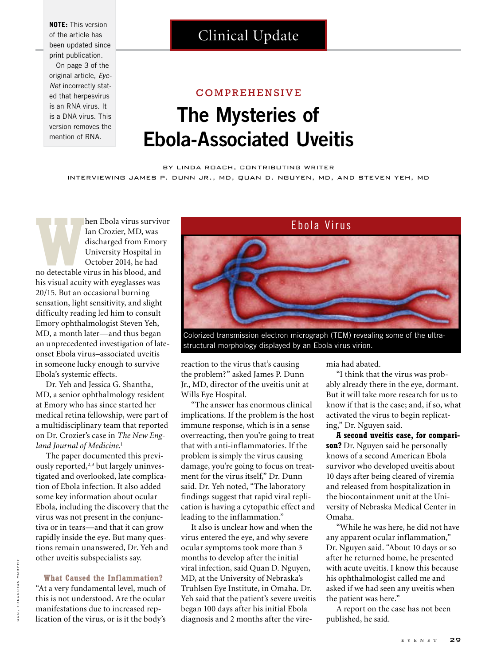**NOTE:** This version of the article has been updated since print publication. On page 3 of the original article, *Eye-Net* incorrectly stated that herpesvirus is an RNA virus. It is a DNA virus. This version removes the mention of RNA.

## Clinical Update

## COMPREHENSIVE

# **The Mysteries of Ebola-Associated Uveitis**

### by linda roach, contributing writer

interviewing james p. dunn jr., md, quan d. nguyen, md, and steven yeh, md

**Manuford Cheen Ebola virus survivor<br>
Ian Crozier, MD, was<br>
discharged from Emory<br>
University Hospital in<br>
October 2014, he had<br>
no detectable virus in his blood, and** Ian Crozier, MD, was discharged from Emory University Hospital in October 2014, he had his visual acuity with eyeglasses was 20/15. But an occasional burning sensation, light sensitivity, and slight difficulty reading led him to consult Emory ophthalmologist Steven Yeh, MD, a month later—and thus began an unprecedented investigation of lateonset Ebola virus–associated uveitis in someone lucky enough to survive Ebola's systemic effects.

Dr. Yeh and Jessica G. Shantha, MD, a senior ophthalmology resident at Emory who has since started her medical retina fellowship, were part of a multidisciplinary team that reported on Dr. Crozier's case in *The New England Journal of Medicine*. 1

The paper documented this previously reported,<sup>2,3</sup> but largely uninvestigated and overlooked, late complication of Ebola infection. It also added some key information about ocular Ebola, including the discovery that the virus was not present in the conjunctiva or in tears—and that it can grow rapidly inside the eye. But many questions remain unanswered, Dr. Yeh and other uveitis subspecialists say.

#### **What Caused the Inflammation?**

"At a very fundamental level, much of this is not understood. Are the ocular manifestations due to increased replication of the virus, or is it the body's



structural morphology displayed by an Ebola virus virion.

reaction to the virus that's causing the problem?" asked James P. Dunn Jr., MD, director of the uveitis unit at Wills Eye Hospital.

"The answer has enormous clinical implications. If the problem is the host immune response, which is in a sense overreacting, then you're going to treat that with anti-inflammatories. If the problem is simply the virus causing damage, you're going to focus on treatment for the virus itself," Dr. Dunn said. Dr. Yeh noted, "The laboratory findings suggest that rapid viral replication is having a cytopathic effect and leading to the inflammation."

It also is unclear how and when the virus entered the eye, and why severe ocular symptoms took more than 3 months to develop after the initial viral infection, said Quan D. Nguyen, MD, at the University of Nebraska's Truhlsen Eye Institute, in Omaha. Dr. Yeh said that the patient's severe uveitis began 100 days after his initial Ebola diagnosis and 2 months after the viremia had abated.

"I think that the virus was probably already there in the eye, dormant. But it will take more research for us to know if that is the case; and, if so, what activated the virus to begin replicating," Dr. Nguyen said.

**A second uveitis case, for comparison?** Dr. Nguyen said he personally knows of a second American Ebola survivor who developed uveitis about 10 days after being cleared of viremia and released from hospitalization in the biocontainment unit at the University of Nebraska Medical Center in Omaha.

"While he was here, he did not have any apparent ocular inflammation," Dr. Nguyen said. "About 10 days or so after he returned home, he presented with acute uveitis. I know this because his ophthalmologist called me and asked if we had seen any uveitis when the patient was here."

A report on the case has not been published, he said.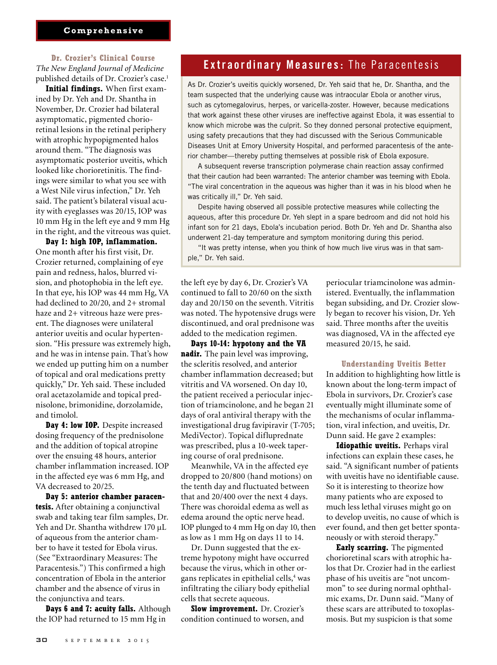## **Comprehensive**

## **Dr. Crozier's Clinical Course**

*The New England Journal of Medicine*  published details of Dr. Crozier's case.<sup>1</sup>

**Initial findings.** When first examined by Dr. Yeh and Dr. Shantha in November, Dr. Crozier had bilateral asymptomatic, pigmented chorioretinal lesions in the retinal periphery with atrophic hypopigmented halos around them. "The diagnosis was asymptomatic posterior uveitis, which looked like chorioretinitis. The findings were similar to what you see with a West Nile virus infection," Dr. Yeh said. The patient's bilateral visual acuity with eyeglasses was 20/15, IOP was 10 mm Hg in the left eye and 9 mm Hg in the right, and the vitreous was quiet.

**Day 1: high IOP, inflammation.**  One month after his first visit, Dr. Crozier returned, complaining of eye pain and redness, halos, blurred vision, and photophobia in the left eye. In that eye, his IOP was 44 mm Hg, VA had declined to 20/20, and 2+ stromal haze and 2+ vitreous haze were present. The diagnoses were unilateral anterior uveitis and ocular hypertension. "His pressure was extremely high, and he was in intense pain. That's how we ended up putting him on a number of topical and oral medications pretty quickly," Dr. Yeh said. These included oral acetazolamide and topical prednisolone, brimonidine, dorzolamide, and timolol.

**Day 4: low IOP.** Despite increased dosing frequency of the prednisolone and the addition of topical atropine over the ensuing 48 hours, anterior chamber inflammation increased. IOP in the affected eye was 6 mm Hg, and VA decreased to 20/25.

**Day 5: anterior chamber paracentesis.** After obtaining a conjunctival swab and taking tear film samples, Dr. Yeh and Dr. Shantha withdrew 170 μL of aqueous from the anterior chamber to have it tested for Ebola virus. (See "Extraordinary Measures: The Paracentesis.") This confirmed a high concentration of Ebola in the anterior chamber and the absence of virus in the conjunctiva and tears.

**Days 6 and 7: acuity falls.** Although the IOP had returned to 15 mm Hg in

## **Extraordinary Measures:** The Paracentesis

As Dr. Crozier's uveitis quickly worsened, Dr. Yeh said that he, Dr. Shantha, and the team suspected that the underlying cause was intraocular Ebola or another virus, such as cytomegalovirus, herpes, or varicella-zoster. However, because medications that work against these other viruses are ineffective against Ebola, it was essential to know which microbe was the culprit. So they donned personal protective equipment, using safety precautions that they had discussed with the Serious Communicable Diseases Unit at Emory University Hospital, and performed paracentesis of the anterior chamber—thereby putting themselves at possible risk of Ebola exposure.

A subsequent reverse transcription polymerase chain reaction assay confirmed that their caution had been warranted: The anterior chamber was teeming with Ebola. "The viral concentration in the aqueous was higher than it was in his blood when he was critically ill," Dr. Yeh said.

Despite having observed all possible protective measures while collecting the aqueous, after this procedure Dr. Yeh slept in a spare bedroom and did not hold his infant son for 21 days, Ebola's incubation period. Both Dr. Yeh and Dr. Shantha also underwent 21-day temperature and symptom monitoring during this period.

"It was pretty intense, when you think of how much live virus was in that sample," Dr. Yeh said.

the left eye by day 6, Dr. Crozier's VA continued to fall to 20/60 on the sixth day and 20/150 on the seventh. Vitritis was noted. The hypotensive drugs were discontinued, and oral prednisone was added to the medication regimen.

**Days 10-14: hypotony and the VA nadir.** The pain level was improving, the scleritis resolved, and anterior chamber inflammation decreased; but vitritis and VA worsened. On day 10, the patient received a periocular injection of triamcinolone, and he began 21 days of oral antiviral therapy with the investigational drug favipiravir (T-705; MediVector). Topical difluprednate was prescribed, plus a 10-week tapering course of oral prednisone.

Meanwhile, VA in the affected eye dropped to 20/800 (hand motions) on the tenth day and fluctuated between that and 20/400 over the next 4 days. There was choroidal edema as well as edema around the optic nerve head. IOP plunged to 4 mm Hg on day 10, then as low as 1 mm Hg on days 11 to 14.

Dr. Dunn suggested that the extreme hypotony might have occurred because the virus, which in other organs replicates in epithelial cells,<sup>4</sup> was infiltrating the ciliary body epithelial cells that secrete aqueous.

**Slow improvement.** Dr. Crozier's condition continued to worsen, and

periocular triamcinolone was administered. Eventually, the inflammation began subsiding, and Dr. Crozier slowly began to recover his vision, Dr. Yeh said. Three months after the uveitis was diagnosed, VA in the affected eye measured 20/15, he said.

#### **Understanding Uveitis Better**

In addition to highlighting how little is known about the long-term impact of Ebola in survivors, Dr. Crozier's case eventually might illuminate some of the mechanisms of ocular inflammation, viral infection, and uveitis, Dr. Dunn said. He gave 2 examples:

**Idiopathic uveitis.** Perhaps viral infections can explain these cases, he said. "A significant number of patients with uveitis have no identifiable cause. So it is interesting to theorize how many patients who are exposed to much less lethal viruses might go on to develop uveitis, no cause of which is ever found, and then get better spontaneously or with steroid therapy."

**Early scarring.** The pigmented chorioretinal scars with atrophic halos that Dr. Crozier had in the earliest phase of his uveitis are "not uncommon" to see during normal ophthalmic exams, Dr. Dunn said. "Many of these scars are attributed to toxoplasmosis. But my suspicion is that some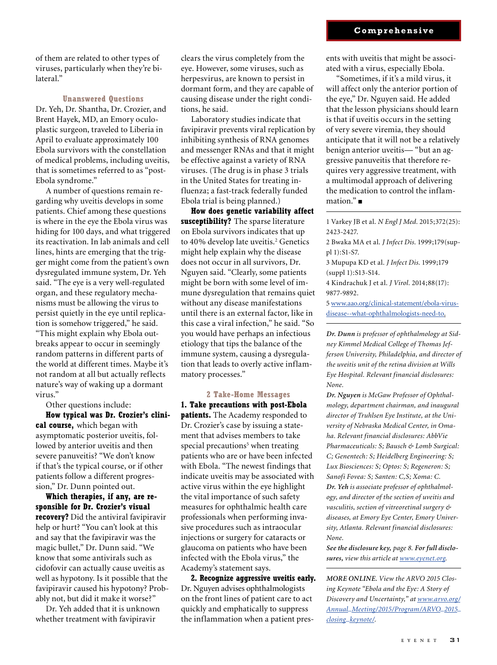of them are related to other types of viruses, particularly when they're bilateral."

### **Unanswered Questions**

Dr. Yeh, Dr. Shantha, Dr. Crozier, and Brent Hayek, MD, an Emory oculoplastic surgeon, traveled to Liberia in April to evaluate approximately 100 Ebola survivors with the constellation of medical problems, including uveitis, that is sometimes referred to as "post-Ebola syndrome."

A number of questions remain regarding why uveitis develops in some patients. Chief among these questions is where in the eye the Ebola virus was hiding for 100 days, and what triggered its reactivation. In lab animals and cell lines, hints are emerging that the trigger might come from the patient's own dysregulated immune system, Dr. Yeh said. "The eye is a very well-regulated organ, and these regulatory mechanisms must be allowing the virus to persist quietly in the eye until replication is somehow triggered," he said. "This might explain why Ebola out-

breaks appear to occur in seemingly random patterns in different parts of the world at different times. Maybe it's not random at all but actually reflects nature's way of waking up a dormant virus."

Other questions include:

**How typical was Dr. Crozier's clinical course,** which began with asymptomatic posterior uveitis, followed by anterior uveitis and then severe panuveitis? "We don't know if that's the typical course, or if other patients follow a different progression," Dr. Dunn pointed out.

**Which therapies, if any, are responsible for Dr. Crozier's visual recovery?** Did the antiviral favipiravir help or hurt? "You can't look at this and say that the favipiravir was the magic bullet," Dr. Dunn said. "We know that some antivirals such as cidofovir can actually cause uveitis as well as hypotony. Is it possible that the favipiravir caused his hypotony? Probably not, but did it make it worse?"

Dr. Yeh added that it is unknown whether treatment with favipiravir

clears the virus completely from the eye. However, some viruses, such as herpesvirus, are known to persist in dormant form, and they are capable of causing disease under the right conditions, he said.

Laboratory studies indicate that favipiravir prevents viral replication by inhibiting synthesis of RNA genomes and messenger RNAs and that it might be effective against a variety of RNA viruses. (The drug is in phase 3 trials in the United States for treating influenza; a fast-track federally funded Ebola trial is being planned.)

**How does genetic variability affect susceptibility?** The sparse literature on Ebola survivors indicates that up to 40% develop late uveitis.<sup>2</sup> Genetics might help explain why the disease does not occur in all survivors, Dr. Nguyen said. "Clearly, some patients might be born with some level of immune dysregulation that remains quiet without any disease manifestations until there is an external factor, like in this case a viral infection," he said. "So you would have perhaps an infectious etiology that tips the balance of the immune system, causing a dysregulation that leads to overly active inflammatory processes."

#### **2 Take-Home Messages**

**1. Take precautions with post-Ebola patients.** The Academy responded to Dr. Crozier's case by issuing a statement that advises members to take special precautions<sup>5</sup> when treating patients who are or have been infected with Ebola. "The newest findings that indicate uveitis may be associated with active virus within the eye highlight the vital importance of such safety measures for ophthalmic health care professionals when performing invasive procedures such as intraocular injections or surgery for cataracts or glaucoma on patients who have been infected with the Ebola virus," the Academy's statement says.

**2. Recognize aggressive uveitis early.**  Dr. Nguyen advises ophthalmologists on the front lines of patient care to act quickly and emphatically to suppress the inflammation when a patient presents with uveitis that might be associated with a virus, especially Ebola.

"Sometimes, if it's a mild virus, it will affect only the anterior portion of the eye," Dr. Nguyen said. He added that the lesson physicians should learn is that if uveitis occurs in the setting of very severe viremia, they should anticipate that it will not be a relatively benign anterior uveitis— "but an aggressive panuveitis that therefore requires very aggressive treatment, with a multimodal approach of delivering the medication to control the inflammation." ■

1 Varkey JB et al. *N Engl J Med.* 2015;372(25): 2423-2427.

2 Bwaka MA et al. *J Infect Dis.* 1999;179(suppl 1):S1-S7.

3 Mupupa KD et al. *J Infect Dis.* 1999;179 (suppl 1):S13-S14.

4 Kindrachuk J et al. *J Virol.* 2014;88(17): 9877-9892.

5 www.aao.org/clinical-statement/ebola-virusdisease--what-ophthalmologists-need-to.

*Dr. Dunn is professor of ophthalmology at Sidney Kimmel Medical College of Thomas Jefferson University, Philadelphia, and director of the uveitis unit of the retina division at Wills Eye Hospital. Relevant financial disclosures: None.*

*Dr. Nguyen is McGaw Professor of Ophthalmology, department chairman, and inaugural director of Truhlsen Eye Institute, at the University of Nebraska Medical Center, in Omaha. Relevant financial disclosures: AbbVie Pharmaceuticals: S; Bausch & Lomb Surgical: C; Genentech: S; Heidelberg Engineering: S; Lux Biosciences: S; Optos: S; Regeneron: S; Sanofi Fovea: S; Santen: C,S; Xoma: C. Dr. Yeh is associate professor of ophthalmology, and director of the section of uveitis and vasculitis, section of vitreoretinal surgery & diseases, at Emory Eye Center, Emory University, Atlanta. Relevant financial disclosures: None.* 

*See the disclosure key, page 8. For full disclosures, view this article at www.eyenet.org.*

*MORE ONLINE. View the ARVO 2015 Closing Keynote "Ebola and the Eye: A Story of Discovery and Uncertainty," at www.arvo.org/ Annual\_Meeting/2015/Program/ARVO\_2015\_ closing\_keynote/.*